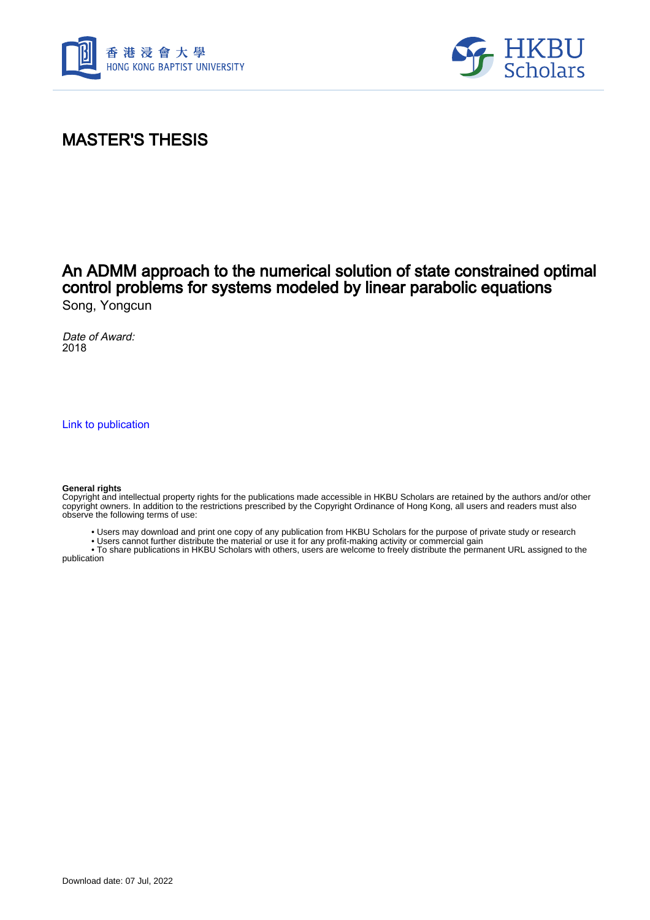



## MASTER'S THESIS

### An ADMM approach to the numerical solution of state constrained optimal control problems for systems modeled by linear parabolic equations Song, Yongcun

Date of Award: 2018

[Link to publication](https://scholars.hkbu.edu.hk/en/studentTheses/672929b3-366b-4243-b533-ec351e9037ec)

#### **General rights**

Copyright and intellectual property rights for the publications made accessible in HKBU Scholars are retained by the authors and/or other copyright owners. In addition to the restrictions prescribed by the Copyright Ordinance of Hong Kong, all users and readers must also observe the following terms of use:

- Users may download and print one copy of any publication from HKBU Scholars for the purpose of private study or research
- Users cannot further distribute the material or use it for any profit-making activity or commercial gain

 • To share publications in HKBU Scholars with others, users are welcome to freely distribute the permanent URL assigned to the publication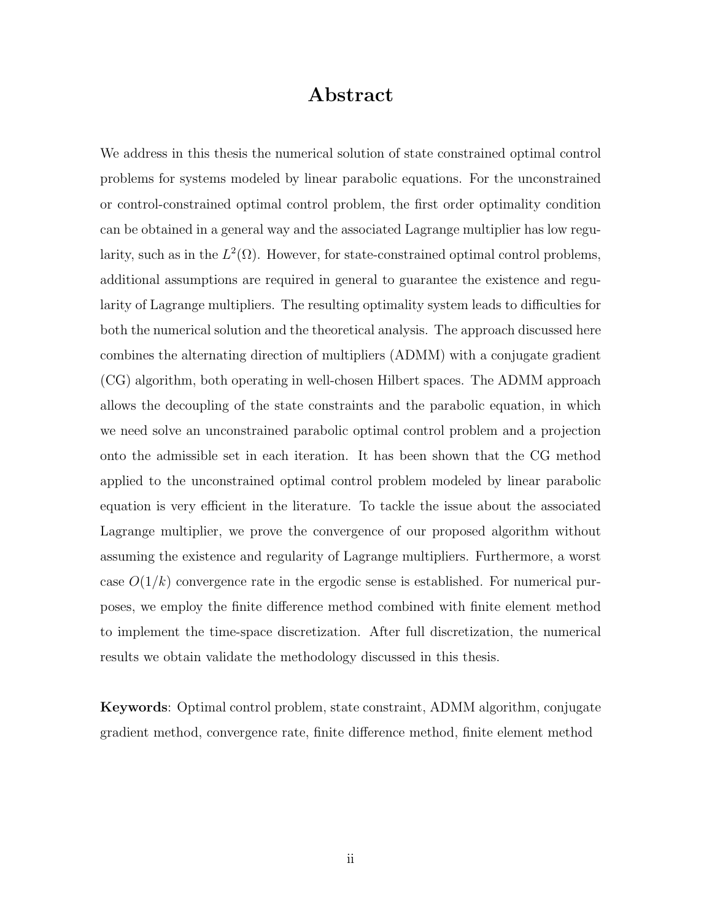## Abstract

We address in this thesis the numerical solution of state constrained optimal control problems for systems modeled by linear parabolic equations. For the unconstrained or control-constrained optimal control problem, the first order optimality condition can be obtained in a general way and the associated Lagrange multiplier has low regularity, such as in the  $L^2(\Omega)$ . However, for state-constrained optimal control problems, additional assumptions are required in general to guarantee the existence and regularity of Lagrange multipliers. The resulting optimality system leads to difficulties for both the numerical solution and the theoretical analysis. The approach discussed here combines the alternating direction of multipliers (ADMM) with a conjugate gradient (CG) algorithm, both operating in well-chosen Hilbert spaces. The ADMM approach allows the decoupling of the state constraints and the parabolic equation, in which we need solve an unconstrained parabolic optimal control problem and a projection onto the admissible set in each iteration. It has been shown that the CG method applied to the unconstrained optimal control problem modeled by linear parabolic equation is very efficient in the literature. To tackle the issue about the associated Lagrange multiplier, we prove the convergence of our proposed algorithm without assuming the existence and regularity of Lagrange multipliers. Furthermore, a worst case  $O(1/k)$  convergence rate in the ergodic sense is established. For numerical purposes, we employ the finite difference method combined with finite element method to implement the time-space discretization. After full discretization, the numerical results we obtain validate the methodology discussed in this thesis.

Keywords: Optimal control problem, state constraint, ADMM algorithm, conjugate gradient method, convergence rate, finite difference method, finite element method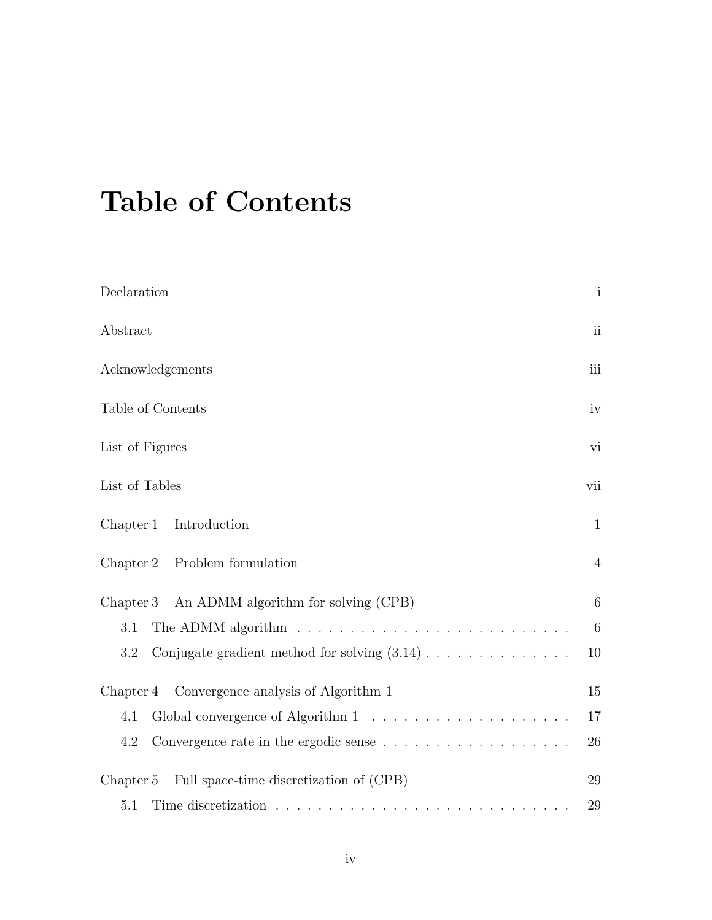# Table of Contents

| Declaration                                                                                     | $\mathbf{i}$    |
|-------------------------------------------------------------------------------------------------|-----------------|
| Abstract                                                                                        | ii              |
| Acknowledgements                                                                                | iii             |
| Table of Contents                                                                               | iv              |
| List of Figures                                                                                 | vi              |
| List of Tables                                                                                  | vii             |
| Chapter 1<br>Introduction                                                                       | $\mathbf{1}$    |
| Problem formulation<br>Chapter 2                                                                | $\overline{4}$  |
| An ADMM algorithm for solving (CPB)<br>Chapter 3                                                | 6               |
| 3.1                                                                                             | $6\phantom{.}6$ |
| Conjugate gradient method for solving $(3.14)$<br>3.2                                           | 10              |
| Chapter 4 Convergence analysis of Algorithm 1                                                   | 15              |
| 4.1                                                                                             | 17              |
| Convergence rate in the ergodic sense $\ldots \ldots \ldots \ldots \ldots \ldots \ldots$<br>4.2 | 26              |
| Full space-time discretization of (CPB)<br>Chapter 5                                            | 29              |
| 5.1                                                                                             | 29              |